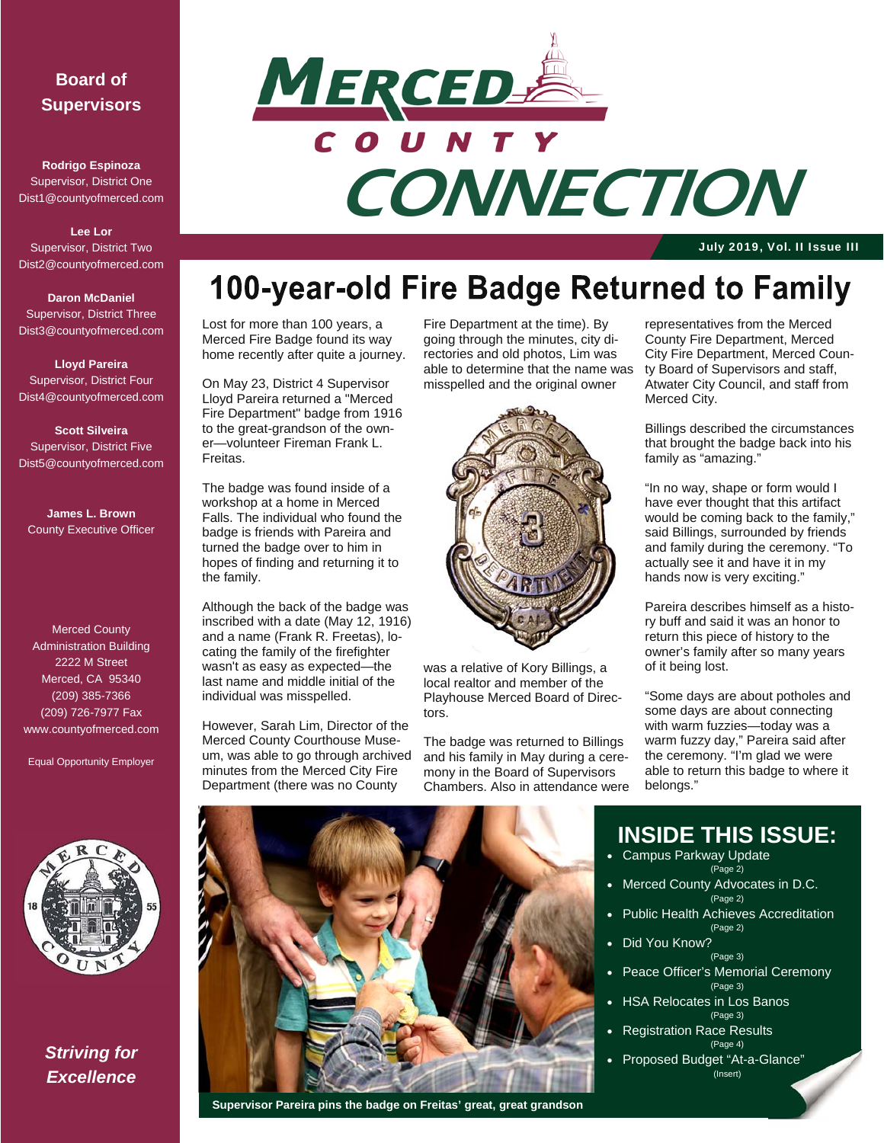### **Board of Supervisors**

**Rodrigo Espinoza**  Supervisor, District One Dist1@countyofmerced.com

**Lee Lor**  Supervisor, District Two Dist2@countyofmerced.com

#### **Daron McDaniel**  Supervisor, District Three Dist3@countyofmerced.com

**Lloyd Pareira**  Supervisor, District Four Dist4@countyofmerced.com

**Scott Silveira**  Supervisor, District Five Dist5@countyofmerced.com

**James L. Brown**  County Executive Officer

Merced County Administration Building 2222 M Street Merced, CA 95340 (209) 385-7366 (209) 726-7977 Fax www.countyofmerced.com

Equal Opportunity Employer



*Striving for Excellence* 



July 2019, Vol. II Issue III

## 100-year-old Fire Badge Returned to Family

Lost for more than 100 years, a Merced Fire Badge found its way home recently after quite a journey.

On May 23, District 4 Supervisor Lloyd Pareira returned a "Merced Fire Department" badge from 1916 to the great-grandson of the owner—volunteer Fireman Frank L. Freitas.

The badge was found inside of a workshop at a home in Merced Falls. The individual who found the badge is friends with Pareira and turned the badge over to him in hopes of finding and returning it to the family.

Although the back of the badge was inscribed with a date (May 12, 1916) and a name (Frank R. Freetas), locating the family of the firefighter wasn't as easy as expected—the last name and middle initial of the individual was misspelled.

However, Sarah Lim, Director of the Merced County Courthouse Museum, was able to go through archived minutes from the Merced City Fire Department (there was no County

Fire Department at the time). By going through the minutes, city directories and old photos, Lim was able to determine that the name was misspelled and the original owner



was a relative of Kory Billings, a local realtor and member of the Playhouse Merced Board of Directors.

The badge was returned to Billings and his family in May during a ceremony in the Board of Supervisors Chambers. Also in attendance were

representatives from the Merced County Fire Department, Merced City Fire Department, Merced County Board of Supervisors and staff, Atwater City Council, and staff from Merced City.

Billings described the circumstances that brought the badge back into his family as "amazing."

"In no way, shape or form would I have ever thought that this artifact would be coming back to the family," said Billings, surrounded by friends and family during the ceremony. "To actually see it and have it in my hands now is very exciting."

Pareira describes himself as a history buff and said it was an honor to return this piece of history to the owner's family after so many years of it being lost.

"Some days are about potholes and some days are about connecting with warm fuzzies—today was a warm fuzzy day," Pareira said after the ceremony. "I'm glad we were able to return this badge to where it belongs."



#### **Supervisor Pareira pins the badge on Freitas' great, great grandson**

## **INSIDE THIS ISSUE:**

- Campus Parkway Update (Page 2)
- Merced County Advocates in D.C.
- (Page 2) Public Health Achieves Accreditation
- (Page 2) Did You Know?
	- (Page 3)
- Peace Officer's Memorial Ceremony (Page 3)
- HSA Relocates in Los Banos (Page 3)
- Registration Race Results (Page 4)
- Proposed Budget "At-a-Glance" (Insert)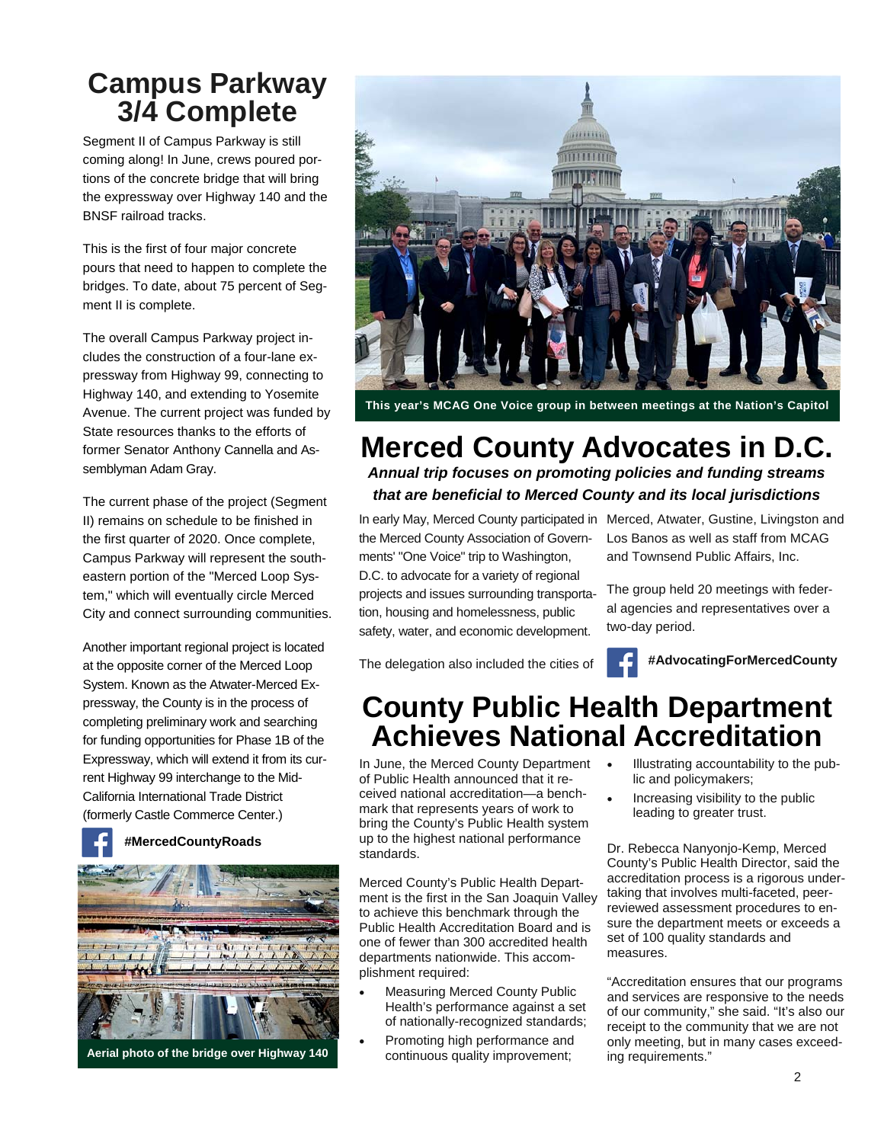## **Campus Parkway 3/4 Complete**

Segment II of Campus Parkway is still coming along! In June, crews poured portions of the concrete bridge that will bring the expressway over Highway 140 and the BNSF railroad tracks.

This is the first of four major concrete pours that need to happen to complete the bridges. To date, about 75 percent of Segment II is complete.

The overall Campus Parkway project includes the construction of a four-lane expressway from Highway 99, connecting to Highway 140, and extending to Yosemite Avenue. The current project was funded by State resources thanks to the efforts of former Senator Anthony Cannella and Assemblyman Adam Gray.

The current phase of the project (Segment II) remains on schedule to be finished in the first quarter of 2020. Once complete, Campus Parkway will represent the southeastern portion of the "Merced Loop System," which will eventually circle Merced City and connect surrounding communities.

Another important regional project is located at the opposite corner of the Merced Loop System. Known as the Atwater-Merced Expressway, the County is in the process of completing preliminary work and searching for funding opportunities for Phase 1B of the Expressway, which will extend it from its current Highway 99 interchange to the Mid-California International Trade District (formerly Castle Commerce Center.)





**This year's MCAG One Voice group in between meetings at the Nation's Capitol** 

### **Merced County Advocates in D.C.**  *Annual trip focuses on promoting policies and funding streams that are beneficial to Merced County and its local jurisdictions*

the Merced County Association of Governments' "One Voice" trip to Washington,

D.C. to advocate for a variety of regional projects and issues surrounding transportation, housing and homelessness, public safety, water, and economic development.

The delegation also included the cities of

In early May, Merced County participated in Merced, Atwater, Gustine, Livingston and Los Banos as well as staff from MCAG and Townsend Public Affairs, Inc.

> The group held 20 meetings with federal agencies and representatives over a two-day period.

**#AdvocatingForMercedCounty** 

## **County Public Health Department Achieves National Accreditation**

In June, the Merced County Department of Public Health announced that it received national accreditation—a benchmark that represents years of work to bring the County's Public Health system up to the highest national performance standards.

Merced County's Public Health Department is the first in the San Joaquin Valley to achieve this benchmark through the Public Health Accreditation Board and is one of fewer than 300 accredited health departments nationwide. This accomplishment required:

- Measuring Merced County Public Health's performance against a set of nationally-recognized standards;
- Promoting high performance and continuous quality improvement;
- Illustrating accountability to the public and policymakers;
- Increasing visibility to the public leading to greater trust.

Dr. Rebecca Nanyonjo-Kemp, Merced County's Public Health Director, said the accreditation process is a rigorous undertaking that involves multi-faceted, peerreviewed assessment procedures to ensure the department meets or exceeds a set of 100 quality standards and measures.

"Accreditation ensures that our programs and services are responsive to the needs of our community," she said. "It's also our receipt to the community that we are not only meeting, but in many cases exceeding requirements."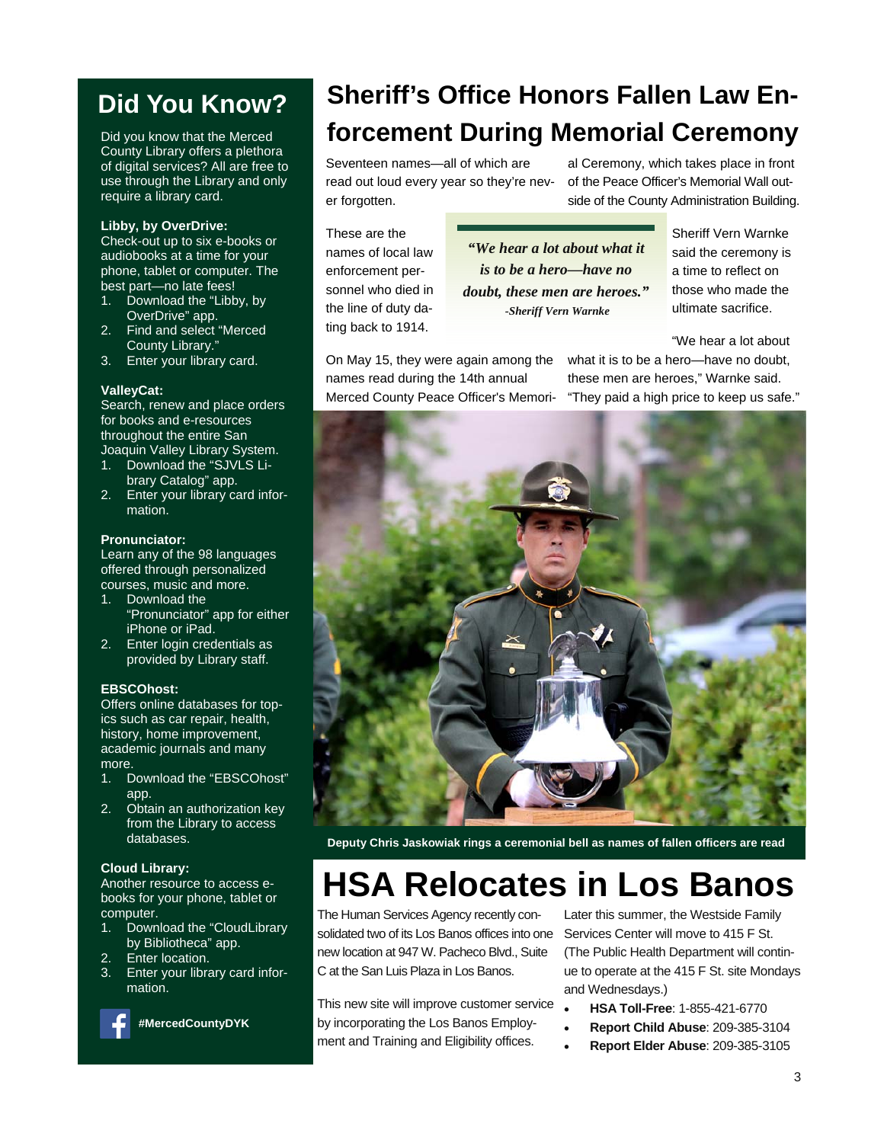## **Did You Know?**

Did you know that the Merced County Library offers a plethora of digital services? All are free to use through the Library and only require a library card.

#### **Libby, by OverDrive:**

Check-out up to six e-books or audiobooks at a time for your phone, tablet or computer. The best part—no late fees!

- 1. Download the "Libby, by OverDrive" app.
- 2. Find and select "Merced County Library."
- 3. Enter your library card.

#### **ValleyCat:**

Search, renew and place orders for books and e-resources throughout the entire San Joaquin Valley Library System.

- 1. Download the "SJVLS Library Catalog" app.
- 2. Enter your library card information.

#### **Pronunciator:**

Learn any of the 98 languages offered through personalized courses, music and more.

- 1. Download the "Pronunciator" app for either iPhone or iPad.
- 2. Enter login credentials as provided by Library staff.

#### **EBSCOhost:**

Offers online databases for topics such as car repair, health, history, home improvement, academic journals and many more.

- 1. Download the "EBSCOhost" app.
- 2. Obtain an authorization key from the Library to access databases.

#### **Cloud Library:**

Another resource to access ebooks for your phone, tablet or computer.

- 1. Download the "CloudLibrary by Bibliotheca" app.
- 2. Enter location.
- 3. Enter your library card information.



 **#MercedCountyDYK** 

## **Sheriff's Office Honors Fallen Law Enforcement During Memorial Ceremony**

Seventeen names—all of which are read out loud every year so they're never forgotten.

al Ceremony, which takes place in front of the Peace Officer's Memorial Wall outside of the County Administration Building.

These are the names of local law enforcement personnel who died in the line of duty dating back to 1914.

*"We hear a lot about what it is to be a hero—have no doubt, these men are heroes." -Sheriff Vern Warnke* 

Sheriff Vern Warnke said the ceremony is a time to reflect on those who made the ultimate sacrifice.

"We hear a lot about

On May 15, they were again among the names read during the 14th annual Merced County Peace Officer's Memori-

what it is to be a hero—have no doubt, these men are heroes," Warnke said. "They paid a high price to keep us safe."



**Deputy Chris Jaskowiak rings a ceremonial bell as names of fallen officers are read** 

# **HSA Relocates in Los Banos**

The Human Services Agency recently consolidated two of its Los Banos offices into one new location at 947 W. Pacheco Blvd., Suite C at the San Luis Plaza in Los Banos.

This new site will improve customer service by incorporating the Los Banos Employment and Training and Eligibility offices.

Later this summer, the Westside Family Services Center will move to 415 F St. (The Public Health Department will continue to operate at the 415 F St. site Mondays and Wednesdays.)

- **HSA Toll-Free**: 1-855-421-6770
- **Report Child Abuse**: 209-385-3104
- **Report Elder Abuse**: 209-385-3105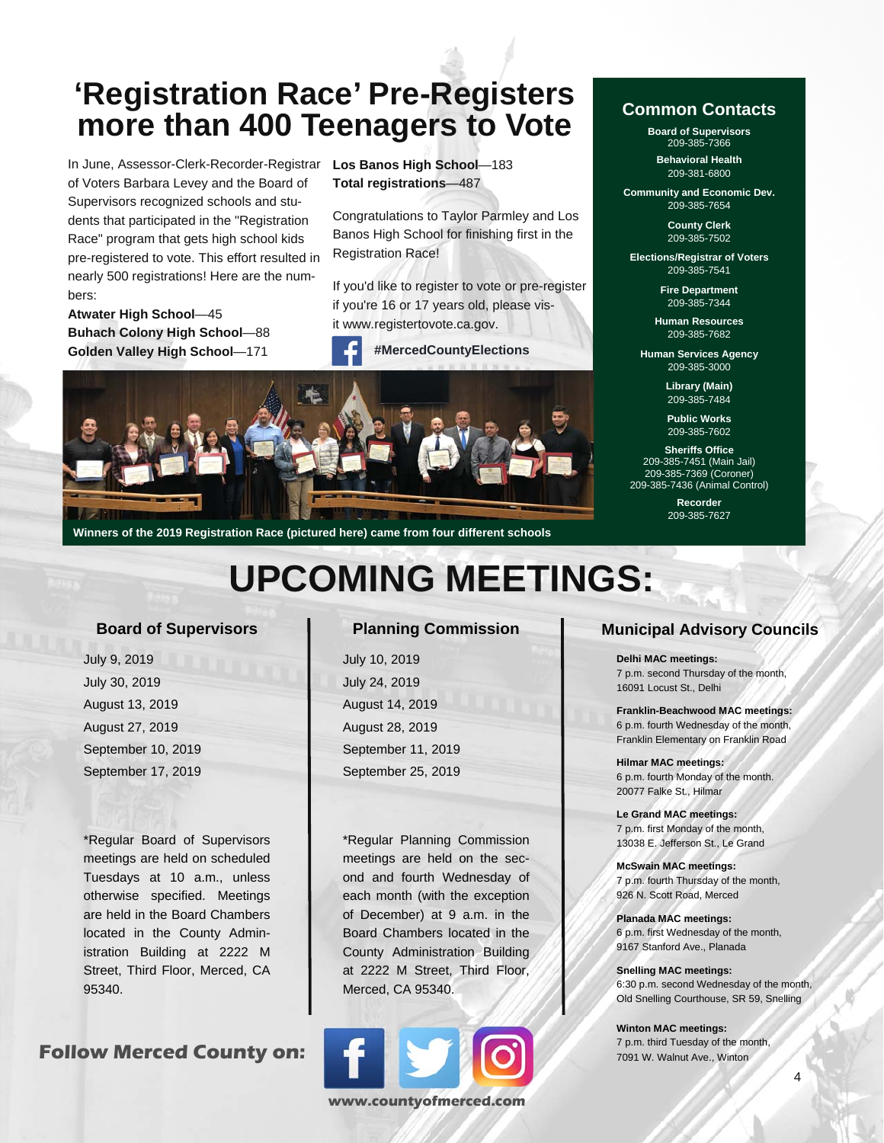## **'Registration Race' Pre-Registers more than 400 Teenagers to Vote**

In June, Assessor-Clerk-Recorder-Registrar of Voters Barbara Levey and the Board of Supervisors recognized schools and students that participated in the "Registration Race" program that gets high school kids pre-registered to vote. This effort resulted in nearly 500 registrations! Here are the numbers:

**Atwater High School**—45 **Buhach Colony High School**—88 **Golden Valley High School**—171

**Los Banos High School**—183 **Total registrations**—487

Congratulations to Taylor Parmley and Los Banos High School for finishing first in the Registration Race!

If you'd like to register to vote or pre-register if you're 16 or 17 years old, please visit www.registertovote.ca.gov.





**Winners of the 2019 Registration Race (pictured here) came from four different schools** 

## **UPCOMING MEETINGS:**

#### **Board of Supervisors**

 July 9, 2019 July 30, 2019 August 13, 2019 August 27, 2019 September 10, 2019 September 17, 2019

\*Regular Board of Supervisors meetings are held on scheduled Tuesdays at 10 a.m., unless otherwise specified. Meetings are held in the Board Chambers located in the County Administration Building at 2222 M Street, Third Floor, Merced, CA 95340.

**Follow Merced County on:** 

#### **Planning Commission**

 July 10, 2019 July 24, 2019 August 14, 2019 August 28, 2019 September 11, 2019 September 25, 2019

\*Regular Planning Commission meetings are held on the second and fourth Wednesday of each month (with the exception of December) at 9 a.m. in the Board Chambers located in the County Administration Building at 2222 M Street, Third Floor, Merced, CA 95340.



#### **Common Contacts**

**Board of Supervisors**  209-385-7366

**Behavioral Health**  209-381-6800

**Community and Economic Dev.**  209-385-7654

> **County Clerk**  209-385-7502

**Elections/Registrar of Voters**  209-385-7541

> **Fire Department**  209-385-7344

**Human Resources**  209-385-7682

**Human Services Agency**  209-385-3000

> **Library (Main)**  209-385-7484

**Public Works**  209-385-7602

**Sheriffs Office**  209-385-7451 (Main Jail) 209-385-7369 (Coroner) 209-385-7436 (Animal Control)

> **Recorder**  209-385-7627

#### **Municipal Advisory Councils**

**Delhi MAC meetings:**  7 p.m. second Thursday of the month, 16091 Locust St., Delhi

**Franklin-Beachwood MAC meetings:**  6 p.m. fourth Wednesday of the month, Franklin Elementary on Franklin Road

**Hilmar MAC meetings:**  6 p.m. fourth Monday of the month. 20077 Falke St., Hilmar

**Le Grand MAC meetings:**  7 p.m. first Monday of the month, 13038 E. Jefferson St., Le Grand

**McSwain MAC meetings:**  7 p.m. fourth Thursday of the month, 926 N. Scott Road, Merced

**Planada MAC meetings:**  6 p.m. first Wednesday of the month, 9167 Stanford Ave., Planada

**Snelling MAC meetings:**  6:30 p.m. second Wednesday of the month, Old Snelling Courthouse, SR 59, Snelling

**Winton MAC meetings:**  7 p.m. third Tuesday of the month, 7091 W. Walnut Ave., Winton

4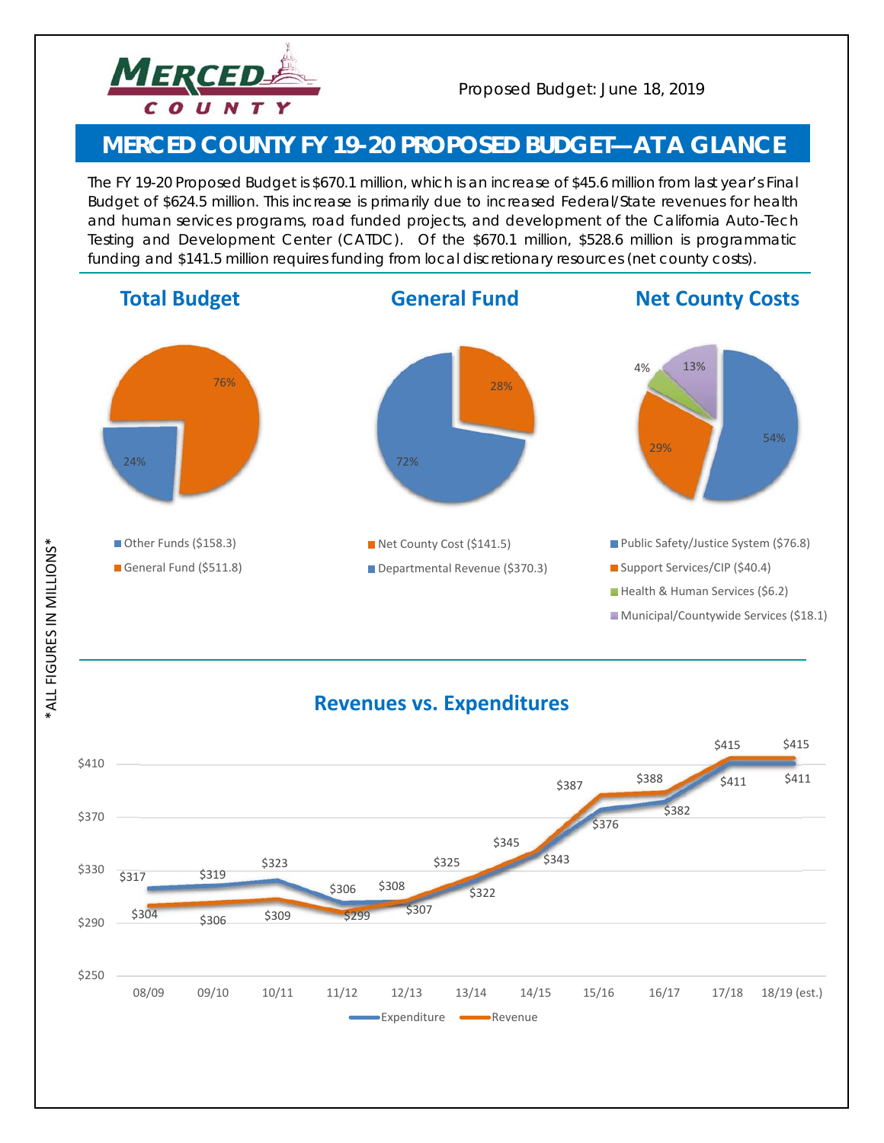

### **MERCED COUNTY FY 19-20 PROPOSED BUDGET—***AT A GLANCE*

*The FY 19-20 Proposed Budget is \$670.1 million, which is an increase of \$45.6 million from last year's Final Budget of \$624.5 million. This increase is primarily due to increased Federal/State revenues for health and human services programs, road funded projects, and development of the California Auto-Tech Testing and Development Center (CATDC). Of the \$670.1 million, \$528.6 million is programmatic funding and \$141.5 million requires funding from local discretionary resources (net county costs).* 



**ALL FIGURES IN MILLIONS\*** \*ALL FIGURES IN MILLIONS\*

### **Revenues vs. Expenditures**